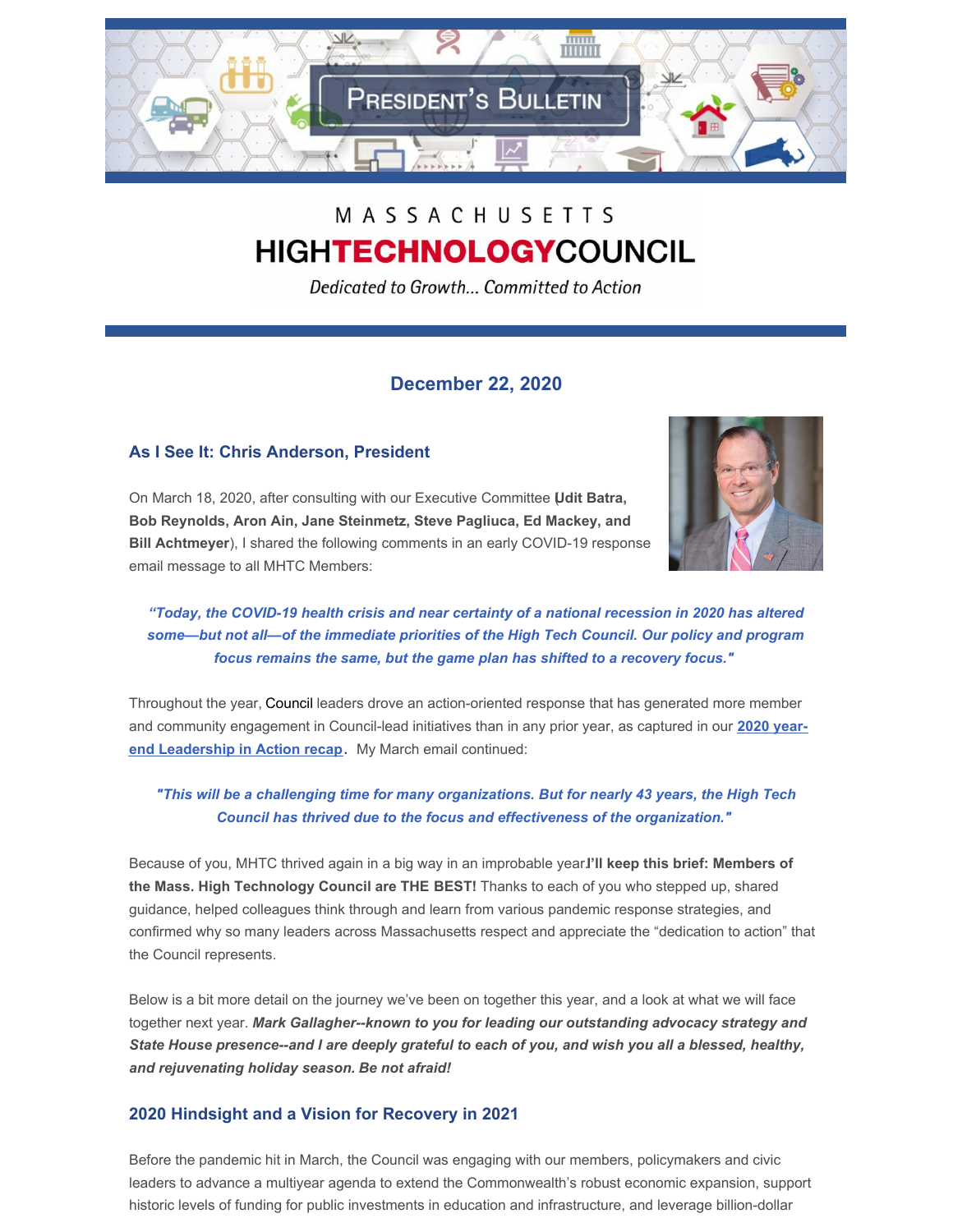

# MASSACHUSETTS **HIGHTECHNOLOGYCOUNCIL**

Dedicated to Growth... Committed to Action

## **December 22, 2020**

## **As I See It: Chris Anderson, President**

On March 18, 2020, after consulting with our Executive Committee (**Udit Batra, Bob Reynolds, Aron Ain, Jane Steinmetz, Steve Pagliuca, Ed Mackey, and Bill Achtmeyer**), I shared the following comments in an early COVID-19 response email message to all MHTC Members:



*"Today, the COVID-19 health crisis and near certainty of a national recession in 2020 has altered some—but not all—of the immediate priorities of the High Tech Council. Our policy and program focus remains the same, but the game plan has shifted to a recovery focus."*

Throughout the year, Council leaders drove an action-oriented response that has generated more member and community [engagement](http://www.mhtc.org/wp-content/uploads/2020/12/MHTC-Leadership-in-Action-December-2020-003.pdf) in Council-lead initiatives than in any prior year, as captured in our **2020 yearend Leadership in Action recap**. My March email continued:

*"This will be a challenging time for many organizations. But for nearly 43 years, the High Tech Council has thrived due to the focus and effectiveness of the organization."*

Because of you, MHTC thrived again in a big way in an improbable year.**I'll keep this brief: Members of the Mass. High Technology Council are THE BEST!** Thanks to each of you who stepped up, shared guidance, helped colleagues think through and learn from various pandemic response strategies, and confirmed why so many leaders across Massachusetts respect and appreciate the "dedication to action" that the Council represents.

Below is a bit more detail on the journey we've been on together this year, and a look at what we will face together next year. *Mark Gallagher--known to you for leading our outstanding advocacy strategy and* State House presence--and I are deeply grateful to each of you, and wish you all a blessed, healthy, *and rejuvenating holiday season. Be not afraid!*

## **2020 Hindsight and a Vision for Recovery in 2021**

Before the pandemic hit in March, the Council was engaging with our members, policymakers and civic leaders to advance a multiyear agenda to extend the Commonwealth's robust economic expansion, support historic levels of funding for public investments in education and infrastructure, and leverage billion-dollar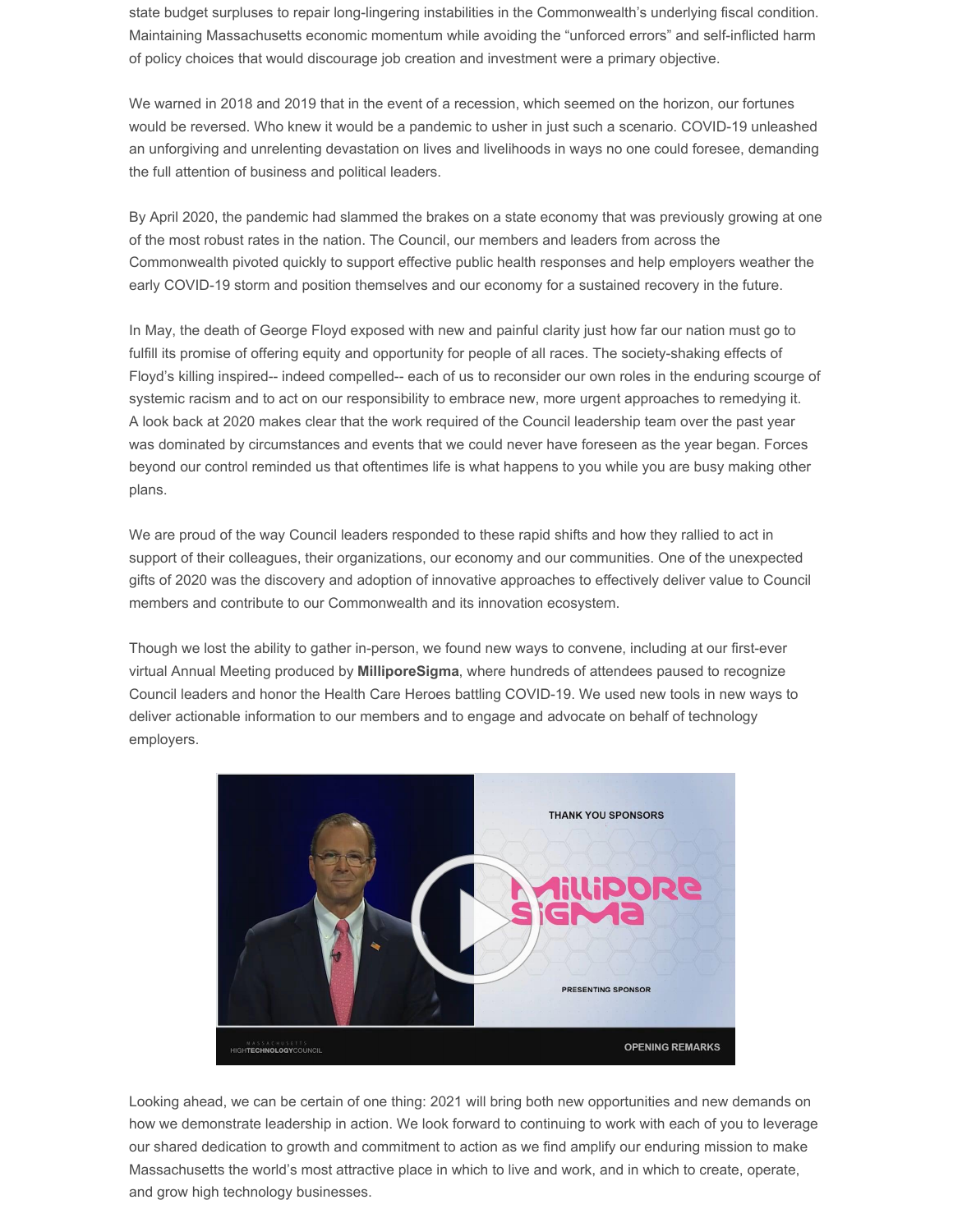state budget surpluses to repair long-lingering instabilities in the Commonwealth's underlying fiscal condition. Maintaining Massachusetts economic momentum while avoiding the "unforced errors" and self-inflicted harm of policy choices that would discourage job creation and investment were a primary objective.

We warned in 2018 and 2019 that in the event of a recession, which seemed on the horizon, our fortunes would be reversed. Who knew it would be a pandemic to usher in just such a scenario. COVID-19 unleashed an unforgiving and unrelenting devastation on lives and livelihoods in ways no one could foresee, demanding the full attention of business and political leaders.

By April 2020, the pandemic had slammed the brakes on a state economy that was previously growing at one of the most robust rates in the nation. The Council, our members and leaders from across the Commonwealth pivoted quickly to support effective public health responses and help employers weather the early COVID-19 storm and position themselves and our economy for a sustained recovery in the future.

In May, the death of George Floyd exposed with new and painful clarity just how far our nation must go to fulfill its promise of offering equity and opportunity for people of all races. The society-shaking effects of Floyd's killing inspired-- indeed compelled-- each of us to reconsider our own roles in the enduring scourge of systemic racism and to act on our responsibility to embrace new, more urgent approaches to remedying it. A look back at 2020 makes clear that the work required of the Council leadership team over the past year was dominated by circumstances and events that we could never have foreseen as the year began. Forces beyond our control reminded us that oftentimes life is what happens to you while you are busy making other plans.

We are proud of the way Council leaders responded to these rapid shifts and how they rallied to act in support of their colleagues, their organizations, our economy and our communities. One of the unexpected gifts of 2020 was the discovery and adoption of innovative approaches to effectively deliver value to Council members and contribute to our Commonwealth and its innovation ecosystem.

Though we lost the ability to gather in-person, we found new ways to convene, including at our first-ever virtual Annual Meeting produced by **MilliporeSigma**, where hundreds of attendees paused to recognize Council leaders and honor the Health Care Heroes battling COVID-19. We used new tools in new ways to deliver actionable information to our members and to engage and advocate on behalf of technology employers.



Looking ahead, we can be certain of one thing: 2021 will bring both new opportunities and new demands on how we demonstrate leadership in action. We look forward to continuing to work with each of you to leverage our shared dedication to growth and commitment to action as we find amplify our enduring mission to make Massachusetts the world's most attractive place in which to live and work, and in which to create, operate, and grow high technology businesses.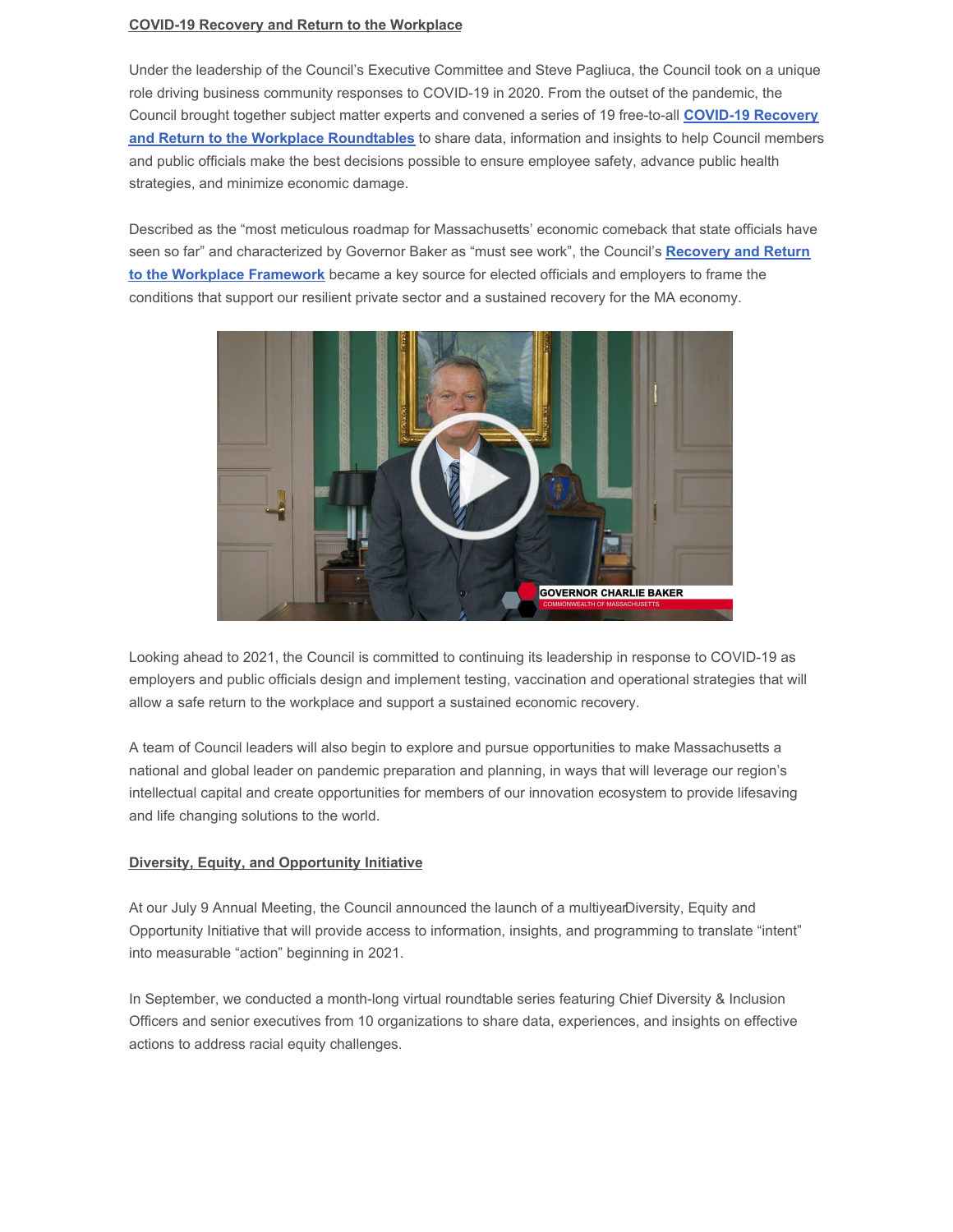#### **COVID-19 Recovery and Return to the Workplace**

Under the leadership of the Council's Executive Committee and Steve Pagliuca, the Council took on a unique role driving business community responses to COVID-19 in 2020. From the outset of the pandemic, the Council brought together subject matter experts and convened a series of 19 free-to-all **COVID-19 Recovery and Return to the Workplace [Roundtables](http://www.mhtc.org/covid-19-response/)** to share data, information and insights to help Council members and public officials make the best decisions possible to ensure employee safety, advance public health strategies, and minimize economic damage.

Described as the "most meticulous roadmap for Massachusetts' economic comeback that state officials have seen so far" and [characterized](http://www.mhtc.org/wp-content/uploads/2020/05/MHTC-COVID-19-Briefing-v33-5.13.20.pdf) by Governor Baker as "must see work", the Council's **Recovery and Return to the Workplace Framework** became a key source for elected officials and employers to frame the conditions that support our resilient private sector and a sustained recovery for the MA economy.



Looking ahead to 2021, the Council is committed to continuing its leadership in response to COVID-19 as employers and public officials design and implement testing, vaccination and operational strategies that will allow a safe return to the workplace and support a sustained economic recovery.

A team of Council leaders will also begin to explore and pursue opportunities to make Massachusetts a national and global leader on pandemic preparation and planning, in ways that will leverage our region's intellectual capital and create opportunities for members of our innovation ecosystem to provide lifesaving and life changing solutions to the world.

#### **Diversity, Equity, and Opportunity Initiative**

At our July 9 Annual Meeting, the Council announced the launch of a [multiyearDiversity,](https://em-ui.constantcontact.com/em-ui/em/page/em-ui/email#) Equity and Opportunity Initiative that will provide access to information, insights, and programming to translate "intent" into measurable "action" beginning in 2021.

In September, we conducted a month-long virtual roundtable series featuring Chief Diversity & Inclusion Officers and senior executives from 10 organizations to share data, experiences, and insights on effective actions to address racial equity challenges.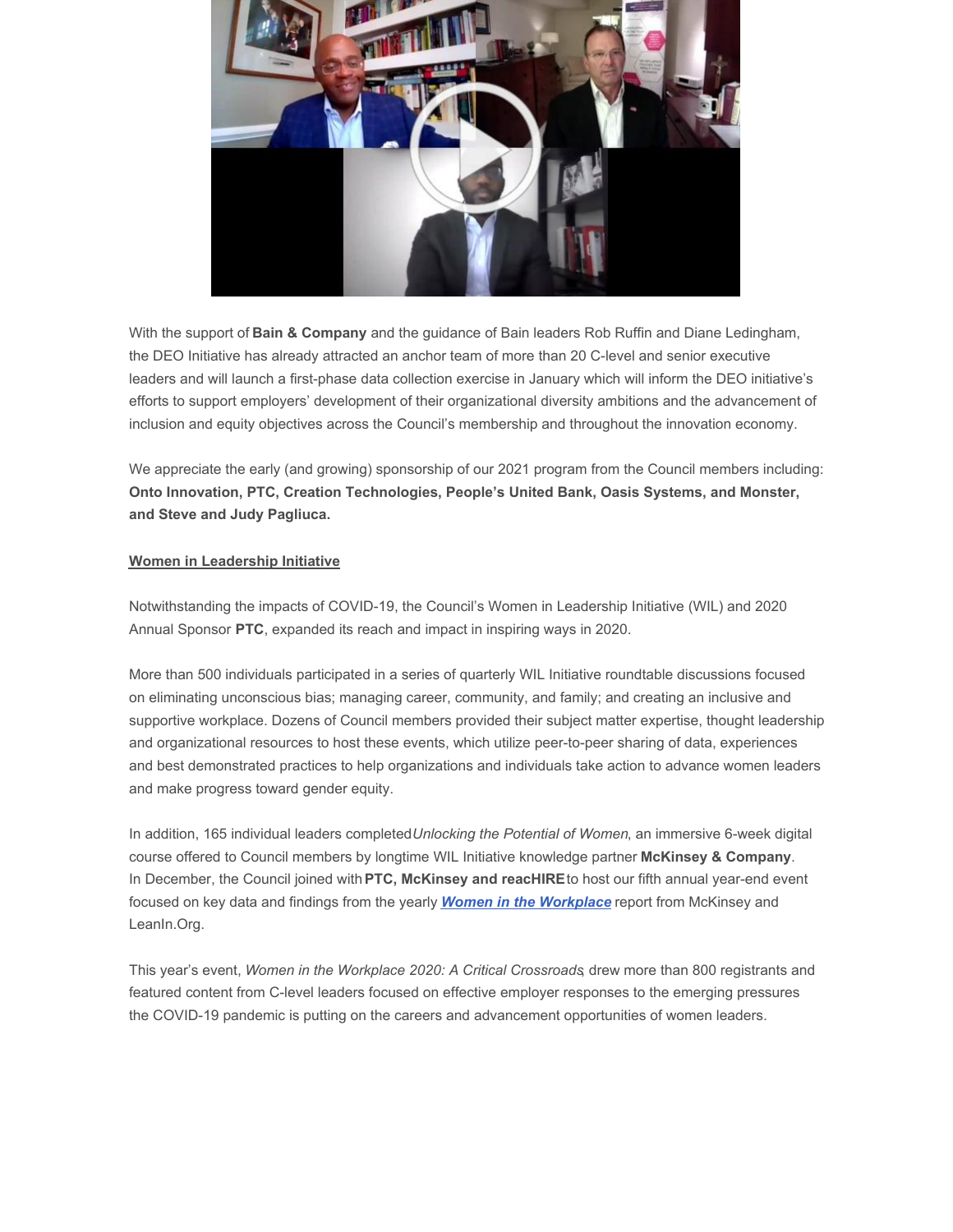

With the support of **Bain & Company** and the guidance of Bain leaders Rob Ruffin and Diane Ledingham, the DEO Initiative has already attracted an anchor team of more than 20 C-level and senior executive leaders and will launch a first-phase data collection exercise in January which will inform the DEO initiative's efforts to support employers' development of their organizational diversity ambitions and the advancement of inclusion and equity objectives across the Council's membership and throughout the innovation economy.

We appreciate the early (and growing) sponsorship of our 2021 program from the Council members including: **Onto Innovation, PTC, Creation Technologies, People's United Bank, Oasis Systems, and Monster, and Steve and Judy Pagliuca.**

## **Women in Leadership Initiative**

Notwithstanding the impacts of COVID-19, the Council's Women in Leadership Initiative (WIL) and 2020 Annual Sponsor **PTC**, expanded its reach and impact in inspiring ways in 2020.

More than 500 individuals participated in a series of quarterly WIL Initiative roundtable discussions focused on eliminating unconscious bias; managing career, community, and family; and creating an inclusive and supportive workplace. Dozens of Council members provided their subject matter expertise, thought leadership and organizational resources to host these events, which utilize peer-to-peer sharing of data, experiences and best demonstrated practices to help organizations and individuals take action to advance women leaders and make progress toward gender equity.

In addition, 165 individual leaders completed*Unlocking the Potential of Women*, an immersive 6-week digital course offered to Council members by longtime WIL Initiative knowledge partner **McKinsey & Company**. In December, the Council joined with**PTC, McKinsey and reacHIRE**to host our fifth annual year-end event focused on key data and findings from the yearly *Women in the [Workplace](https://www.mckinsey.com/featured-insights/diversity-and-inclusion/women-in-the-workplace)* report from McKinsey and LeanIn.Org.

This year's event, *Women in the Workplace 2020: A Critical Crossroads*, drew more than 800 registrants and featured content from C-level leaders focused on effective employer responses to the emerging pressures the COVID-19 pandemic is putting on the careers and advancement opportunities of women leaders.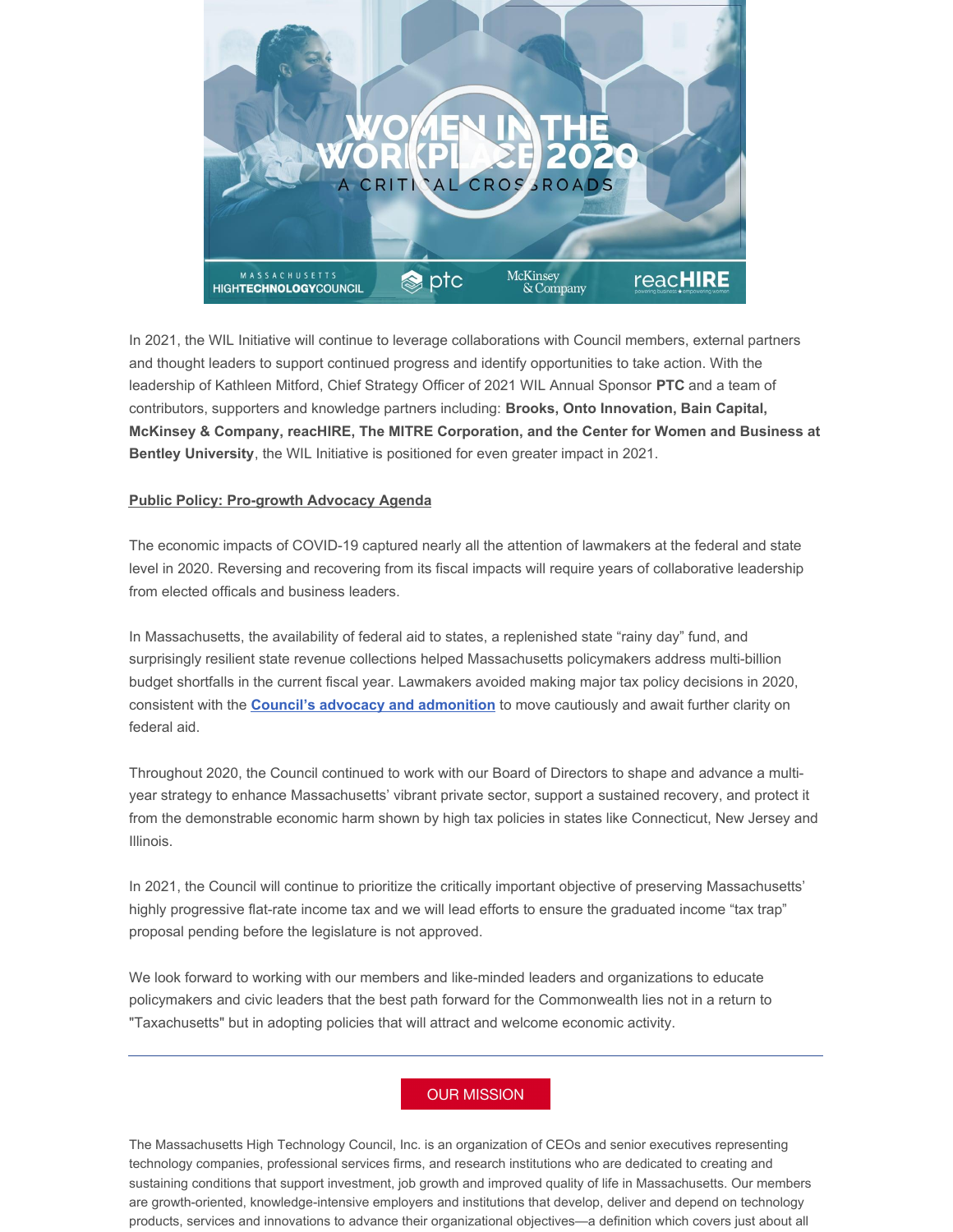

In 2021, the WIL Initiative will continue to leverage collaborations with Council members, external partners and thought leaders to support continued progress and identify opportunities to take action. With the leadership of Kathleen Mitford, Chief Strategy Officer of 2021 WIL Annual Sponsor **PTC** and a team of contributors, supporters and knowledge partners including: **Brooks, Onto Innovation, Bain Capital, McKinsey & Company, reacHIRE, The MITRE Corporation, and the Center for Women and Business at Bentley University**, the WIL Initiative is positioned for even greater impact in 2021.

### **Public Policy: Pro-growth Advocacy Agenda**

The economic impacts of COVID-19 captured nearly all the attention of lawmakers at the federal and state level in 2020. Reversing and recovering from its fiscal impacts will require years of collaborative leadership from elected officals and business leaders.

In Massachusetts, the availability of federal aid to states, a replenished state "rainy day" fund, and surprisingly resilient state revenue collections helped Massachusetts policymakers address multi-billion budget shortfalls in the current fiscal year. Lawmakers avoided making major tax policy decisions in 2020, consistent with the **Council's advocacy and [admonition](http://www.mhtc.org/wp-content/uploads/2020/08/Presidents-Bulletin-Restoring-a-Competitive-Mass.-Economy-8.17.20.pdf)** to move cautiously and await further clarity on federal aid.

Throughout 2020, the Council continued to work with our Board of Directors to shape and advance a multiyear strategy to enhance Massachusetts' vibrant private sector, support a sustained recovery, and protect it from the demonstrable economic harm shown by high tax policies in states like Connecticut, New Jersey and Illinois.

In 2021, the Council will continue to prioritize the critically important objective of preserving Massachusetts' highly progressive flat-rate income tax and we will lead efforts to ensure the graduated income "tax trap" proposal pending before the legislature is not approved.

We look forward to working with our members and like-minded leaders and organizations to educate policymakers and civic leaders that the best path forward for the Commonwealth lies not in a return to "Taxachusetts" but in adopting policies that will attract and welcome economic activity.

## **OUR MISSION**

The Massachusetts High Technology Council, Inc. is an organization of CEOs and senior executives representing technology companies, professional services firms, and research institutions who are dedicated to creating and sustaining conditions that support investment, job growth and improved quality of life in Massachusetts. Our members are growth-oriented, knowledge-intensive employers and institutions that develop, deliver and depend on technology products, services and innovations to advance their organizational objectives—a definition which covers just about all